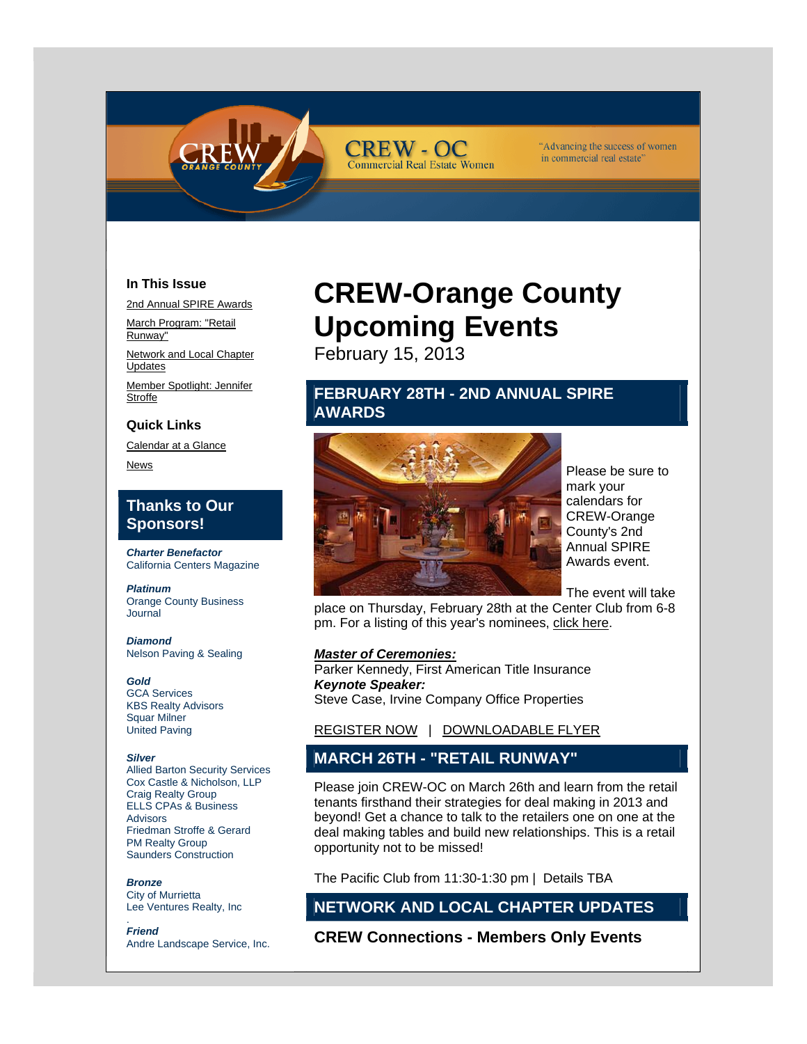

#### "Advancing the success of women in commercial real estate'

## **In This Issue**

2nd Annual SPIRE Awards

March Program: "Retail Runway"

Network and Local Chapter Updates

Member Spotlight: Jennifer **Stroffe** 

### **Quick Links**

Calendar at a Glance

News

## **Thanks to Our Sponsors!**

*Charter Benefactor*  California Centers Magazine

*Platinum*  Orange County Business Journal

*Diamond*  Nelson Paving & Sealing

*Gold*  GCA Services KBS Realty Advisors Squar Milner United Paving

#### *Silver*

Allied Barton Security Services Cox Castle & Nicholson, LLP Craig Realty Group ELLS CPAs & Business Advisors Friedman Stroffe & Gerard PM Realty Group Saunders Construction

*Bronze*  City of Murrietta Lee Ventures Realty, Inc

. *Friend*  Andre Landscape Service, Inc.

# **CREW-Orange County Upcoming Events**

February 15, 2013

**CREW - OC** 

**Commercial Real Estate Women** 

# **FEBRUARY 28TH - 2ND ANNUAL SPIRE AWARDS**



Please be sure to mark your calendars for CREW-Orange County's 2nd Annual SPIRE Awards event.

The event will take

place on Thursday, February 28th at the Center Club from 6-8 pm. For a listing of this year's nominees, click here.

#### *Master of Ceremonies:*

Parker Kennedy, First American Title Insurance *Keynote Speaker:* Steve Case, Irvine Company Office Properties

REGISTER NOW | DOWNLOADABLE FLYER

# **MARCH 26TH - "RETAIL RUNWAY"**

Please join CREW-OC on March 26th and learn from the retail tenants firsthand their strategies for deal making in 2013 and beyond! Get a chance to talk to the retailers one on one at the deal making tables and build new relationships. This is a retail opportunity not to be missed!

The Pacific Club from 11:30-1:30 pm | Details TBA

# **NETWORK AND LOCAL CHAPTER UPDATES**

**CREW Connections - Members Only Events**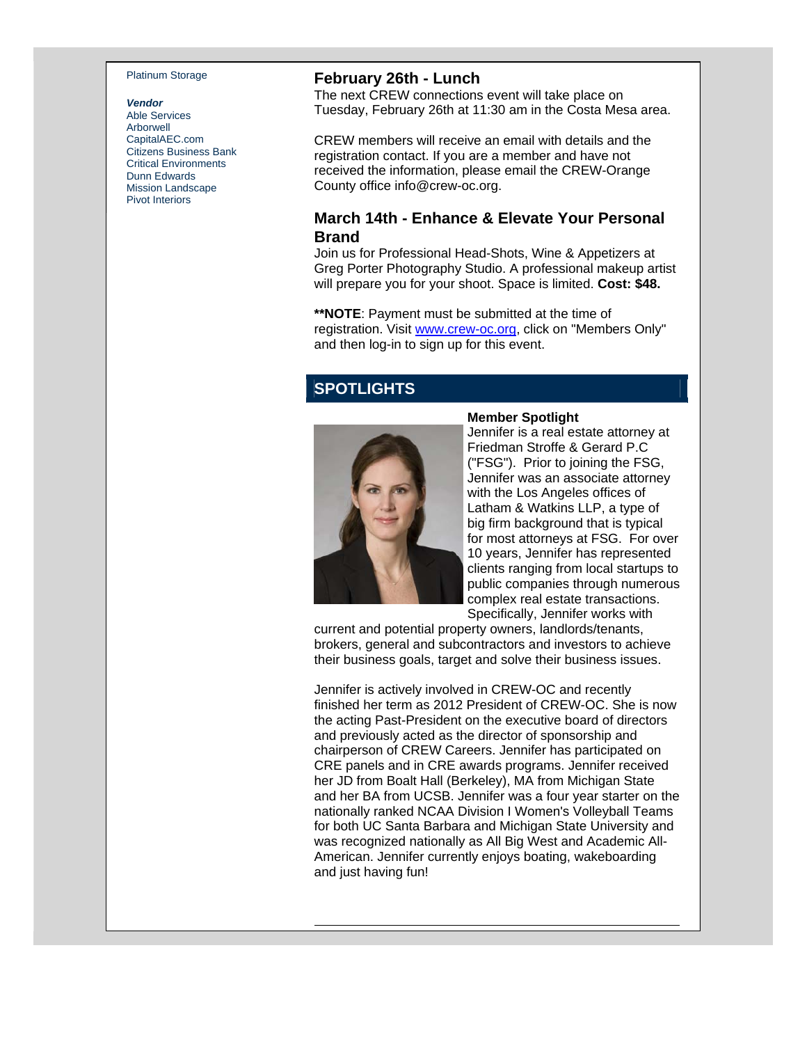#### Platinum Storage

#### *Vendor*

Able Services Arborwell CapitalAEC.com Citizens Business Bank Critical Environments Dunn Edwards Mission Landscape Pivot Interiors

## **February 26th - Lunch**

The next CREW connections event will take place on Tuesday, February 26th at 11:30 am in the Costa Mesa area.

CREW members will receive an email with details and the registration contact. If you are a member and have not received the information, please email the CREW-Orange County office info@crew-oc.org.

## **March 14th - Enhance & Elevate Your Personal Brand**

Join us for Professional Head-Shots, Wine & Appetizers at Greg Porter Photography Studio. A professional makeup artist will prepare you for your shoot. Space is limited. **Cost: \$48.**

**\*\*NOTE**: Payment must be submitted at the time of registration. Visit www.crew-oc.org, click on "Members Only" and then log-in to sign up for this event.

# **SPOTLIGHTS**



#### **Member Spotlight**

Jennifer is a real estate attorney at Friedman Stroffe & Gerard P.C ("FSG"). Prior to joining the FSG, Jennifer was an associate attorney with the Los Angeles offices of Latham & Watkins LLP, a type of big firm background that is typical for most attorneys at FSG. For over 10 years, Jennifer has represented clients ranging from local startups to public companies through numerous complex real estate transactions. Specifically, Jennifer works with

current and potential property owners, landlords/tenants, brokers, general and subcontractors and investors to achieve their business goals, target and solve their business issues.

Jennifer is actively involved in CREW-OC and recently finished her term as 2012 President of CREW-OC. She is now the acting Past-President on the executive board of directors and previously acted as the director of sponsorship and chairperson of CREW Careers. Jennifer has participated on CRE panels and in CRE awards programs. Jennifer received her JD from Boalt Hall (Berkeley), MA from Michigan State and her BA from UCSB. Jennifer was a four year starter on the nationally ranked NCAA Division I Women's Volleyball Teams for both UC Santa Barbara and Michigan State University and was recognized nationally as All Big West and Academic All-American. Jennifer currently enjoys boating, wakeboarding and just having fun!